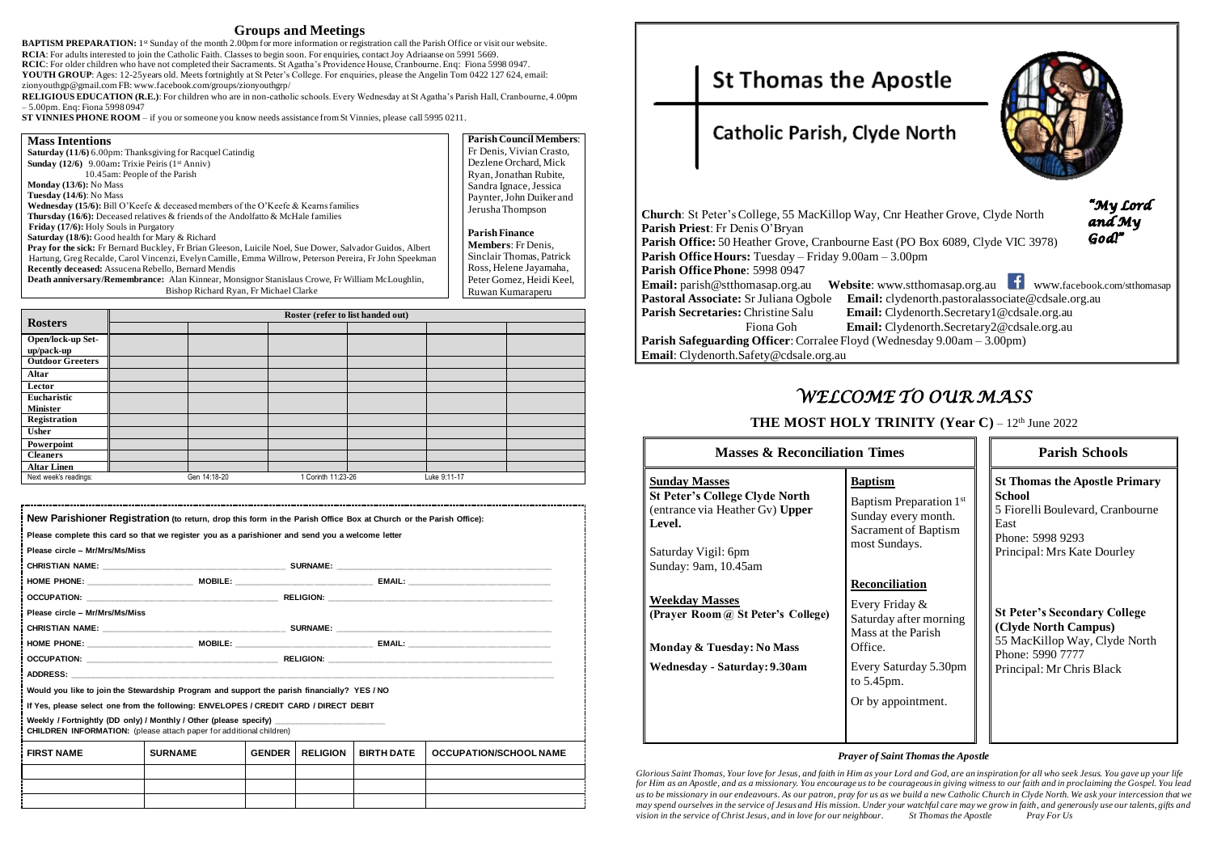### **Groups and Meetings**

**BAPTISM PREPARATION:** 1<sup>st</sup> Sunday of the month 2.00pm for more information or registration call the Parish Office or visit our website. **RCIA**: For adults interested to join the Catholic Faith. Classes to begin soon. For enquiries, contact Joy Adriaanse on 5991 5669. **RCIC**: For older children who have not completed their Sacraments. St Agatha's Providence House, Cranbourne.Enq: Fiona 5998 0947. **YOUTH GROUP**: Ages: 12-25years old. Meets fortnightly at St Peter's College. For enquiries, please the Angelin Tom 0422 127 624, email: zionyouthgp@gmail.com FB[: www.facebook.com/groups/zionyouthgrp/](http://www.facebook.com/groups/zionyouthgrp/)

**RELIGIOUS EDUCATION (R.E.)**: For children who are in non-catholic schools. Every Wednesday at St Agatha's Parish Hall, Cranbourne, 4.00pm – 5.00pm. Enq: Fiona 5998 0947

**ST VINNIES PHONE ROOM** – if you or someone you know needs assistance from St Vinnies, please call 5995 0211.

| <b>Mass Intentions</b>                                                                                    | <b>Parish Council Members:</b> |
|-----------------------------------------------------------------------------------------------------------|--------------------------------|
| <b>Saturday</b> (11/6) 6.00pm: Thanksgiving for Racquel Catindig                                          | Fr Denis, Vivian Crasto,       |
| <b>Sunday</b> (12/6) 9.00am: Trixie Peiris (1 <sup>st</sup> Anniv)                                        | Dezlene Orchard, Mick          |
| 10.45am: People of the Parish                                                                             | Ryan, Jonathan Rubite,         |
| <b>Monday</b> $(13/6)$ : No Mass                                                                          | Sandra Ignace, Jessica         |
| Tuesday $(14/6)$ : No Mass                                                                                | Paynter, John Duiker and       |
| <b>Wednesday (15/6):</b> Bill O'Keefe & deceased members of the O'Keefe & Kearns families                 | Jerusha Thompson               |
| <b>Thursday (16/6):</b> Deceased relatives & friends of the Andolfatto & McHale families                  |                                |
| <b>Friday (17/6):</b> Holy Souls in Purgatory                                                             | <b>Parish Finance</b>          |
| <b>Saturday (18/6):</b> Good health for Mary $\&$ Richard                                                 | <b>Members:</b> Fr Denis,      |
| Pray for the sick: Fr Bernard Buckley, Fr Brian Gleeson, Luicile Noel, Sue Dower, Salvador Guidos, Albert |                                |
| Hartung, Greg Recalde, Carol Vincenzi, Evelyn Camille, Emma Willrow, Peterson Pereira, Fr John Speekman   | Sinclair Thomas, Patrick       |
| <b>Recently deceased:</b> Assucena Rebello, Bernard Mendis                                                | Ross, Helene Jayamaha,         |
| Death anniversary/Remembrance: Alan Kinnear, Monsignor Stanislaus Crowe, Fr William McLoughlin,           | Peter Gomez, Heidi Keel,       |
| Bishop Richard Ryan, Fr Michael Clarke                                                                    | Ruwan Kumaraperu               |

**Email:** parish@stthomasap.org.au **Website**: www.stthomasap.org.au www.facebook.com/stthomasap **Pastoral Associate**@cdsale.org.au **Parish Secretary1@cdsale.org.au** north.Secretary2@cdsale.org.au **Parish Safeguarding Safeguarding** Correlation Section Correlation Section Section Section Section Section Section Section Section Section Section Section Section Section Section Section Section Section Section Section Sec

**THE MOST HOLY TRINITY (Year C) – 12<sup>th</sup> June 2022** 

|                                 | Roster (refer to list handed out) |              |                    |  |              |  |
|---------------------------------|-----------------------------------|--------------|--------------------|--|--------------|--|
| <b>Rosters</b>                  |                                   |              |                    |  |              |  |
| Open/lock-up Set-<br>up/pack-up |                                   |              |                    |  |              |  |
| <b>Outdoor Greeters</b>         |                                   |              |                    |  |              |  |
| Altar                           |                                   |              |                    |  |              |  |
| Lector                          |                                   |              |                    |  |              |  |
| Eucharistic                     |                                   |              |                    |  |              |  |
| <b>Minister</b>                 |                                   |              |                    |  |              |  |
| Registration                    |                                   |              |                    |  |              |  |
| <b>Usher</b>                    |                                   |              |                    |  |              |  |
| Powerpoint                      |                                   |              |                    |  |              |  |
| <b>Cleaners</b>                 |                                   |              |                    |  |              |  |
| <b>Altar Linen</b>              |                                   |              |                    |  |              |  |
| Next week's readings:           |                                   | Gen 14:18-20 | 1 Corinth 11:23-26 |  | Luke 9:11-17 |  |

| Please complete this card so that we register you as a parishioner and send you a welcome letter<br>Please circle - Mr/Mrs/Ms/Miss                              |                |               |                 |                   |                               |
|-----------------------------------------------------------------------------------------------------------------------------------------------------------------|----------------|---------------|-----------------|-------------------|-------------------------------|
|                                                                                                                                                                 |                |               |                 |                   |                               |
|                                                                                                                                                                 |                |               |                 |                   |                               |
|                                                                                                                                                                 |                |               |                 |                   |                               |
| Please circle - Mr/Mrs/Ms/Miss                                                                                                                                  |                |               |                 |                   |                               |
|                                                                                                                                                                 |                |               |                 |                   |                               |
|                                                                                                                                                                 |                |               |                 |                   |                               |
|                                                                                                                                                                 |                |               |                 |                   |                               |
|                                                                                                                                                                 |                |               |                 |                   |                               |
| Would you like to join the Stewardship Program and support the parish financially? YES / NO                                                                     |                |               |                 |                   |                               |
| If Yes, please select one from the following: ENVELOPES / CREDIT CARD / DIRECT DEBIT                                                                            |                |               |                 |                   |                               |
| Weekly / Fortnightly (DD only) / Monthly / Other (please specify) _______________<br><b>CHILDREN INFORMATION:</b> (please attach paper for additional children) |                |               |                 |                   |                               |
| <b>FIRST NAME</b>                                                                                                                                               | <b>SURNAME</b> | <b>GENDER</b> | <b>RELIGION</b> | <b>BIRTH DATE</b> | <b>OCCUPATION/SCHOOL NAME</b> |
|                                                                                                                                                                 |                |               |                 |                   |                               |
|                                                                                                                                                                 |                |               |                 |                   |                               |

# **St Thomas the Apostle**

# Catholic Parish, Clyde North

| <b>Church:</b> St Peter's College, 55 MacKillop Way, Cnr Heat |                    |
|---------------------------------------------------------------|--------------------|
| Parish Priest: Fr Denis O'Bryan                               |                    |
| Parish Office: 50 Heather Grove, Cranbourne East (PO B        |                    |
| <b>Parish Office Hours:</b> Tuesday – Friday 9.00am – 3.00pm  |                    |
| Parish Office Phone: 5998 0947                                |                    |
| <b>Email:</b> parish@stthomasap.org.au                        | Website: www.sttho |
| Pastoral Associate: Sr Juliana Ogbole                         | Email: clydenor    |
| Parish Secretaries: Christine Salu                            | Email: Clydeno     |
| Fiona Goh                                                     | Email: Clydeno     |
| <b>Parish Safeguarding Officer:</b> Corralee Floyd (Wednesda  |                    |
| Email: Clydenorth.Safety@cdsale.org.au                        |                    |
|                                                               |                    |

# *WELCOME TO OUR MASS*

|  |  | <b>Masses &amp; Reconciliation Times</b> |  |
|--|--|------------------------------------------|--|
|--|--|------------------------------------------|--|

#### **Sunday Masses**

**St Peter's College Clyde North** (entrance via Heather Gv) **Upper Level.** 

Saturday Vigil: 6pm Sunday: 9am, 10.45am

# **Weekday Masses**

**(Prayer Room @ St Peter's College)**

**Monday & Tuesday: No Mass**

**Wednesday - Saturday: 9.30am**

| <b>Masses &amp; Reconciliation Times</b>                                                                                                                                                                                                   |                                                                                                                       | <b>Parish Schools</b><br><b>St Thomas the Apostle Primary</b><br><b>School</b><br>5 Fiorelli Boulevard, Cranbourne<br>East<br>Phone: 5998 9293<br>Principal: Mrs Kate Dourley |  |  |
|--------------------------------------------------------------------------------------------------------------------------------------------------------------------------------------------------------------------------------------------|-----------------------------------------------------------------------------------------------------------------------|-------------------------------------------------------------------------------------------------------------------------------------------------------------------------------|--|--|
| <u>ses</u><br>bllege Clyde North<br>Heather Gv) Upper<br>il: 6pm<br>, 10.45am                                                                                                                                                              | <b>Baptism</b><br>Baptism Preparation 1 <sup>st</sup><br>Sunday every month.<br>Sacrament of Baptism<br>most Sundays. |                                                                                                                                                                               |  |  |
| Reconciliation<br><u>asses</u><br>Every Friday &<br>n @ St Peter's College)<br>Saturday after morning<br>Mass at the Parish<br>Office.<br>uesday: No Mass<br>Every Saturday 5.30pm<br>Saturday: 9.30am<br>to 5.45pm.<br>Or by appointment. |                                                                                                                       | <b>St Peter's Secondary College</b><br>(Clyde North Campus)<br>55 MacKillop Way, Clyde North<br>Phone: 5990 7777<br>Principal: Mr Chris Black                                 |  |  |

### *Prayer of Saint Thomas the Apostle*

*Glorious Saint Thomas, Your love for Jesus, and faith in Him as your Lord and God, are an inspiration for all who seek Jesus. You gave up your life for Him as an Apostle, and as a missionary. You encourage us to be courageous in giving witness to our faith and in proclaiming the Gospel. You lead us to be missionary in our endeavours. As our patron, pray for us as we build a new Catholic Church in Clyde North. We ask your intercession that we may spend ourselves in the service of Jesus and His mission. Under your watchful care may we grow in faith, and generously use our talents, gifts and vision in the service of Christ Jesus, and in love for our neighbour. St Thomas the Apostle Pray For Us*



**Church**: St Peter Grove, Clyde North

"My Lord"<br>and My God!"

Box 6089, Clyde VIC 3978)